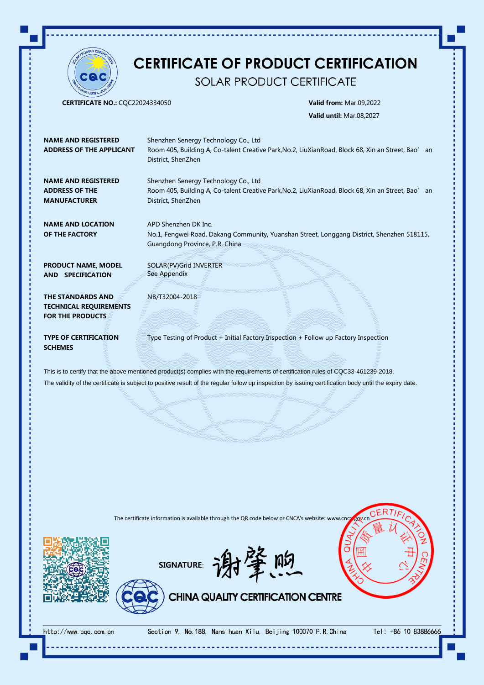

## **CERTIFICATE OF PRODUCT CERTIFICATION**

SOLAR PRODUCT CERTIFICATE

CERTIFICATE NO.: CQC22024334050 Valid from: Mar.09,2022

Valid until: Mar.08,2027

| <b>NAME AND REGISTERED</b><br><b>ADDRESS OF THE APPLICANT</b>                                                                                                                                                                                                                                | Shenzhen Senergy Technology Co., Ltd<br>Room 405, Building A, Co-talent Creative Park, No.2, LiuXian Road, Block 68, Xin an Street, Bao' an<br>District, ShenZhen |
|----------------------------------------------------------------------------------------------------------------------------------------------------------------------------------------------------------------------------------------------------------------------------------------------|-------------------------------------------------------------------------------------------------------------------------------------------------------------------|
| <b>NAME AND REGISTERED</b><br><b>ADDRESS OF THE</b><br><b>MANUFACTURER</b>                                                                                                                                                                                                                   | Shenzhen Senergy Technology Co., Ltd<br>Room 405, Building A, Co-talent Creative Park, No.2, LiuXian Road, Block 68, Xin an Street, Bao' an<br>District, ShenZhen |
| <b>NAME AND LOCATION</b><br>OF THE FACTORY                                                                                                                                                                                                                                                   | APD Shenzhen DK Inc.<br>No.1, Fengwei Road, Dakang Community, Yuanshan Street, Longgang District, Shenzhen 518115,<br>Guangdong Province, P.R. China              |
| <b>PRODUCT NAME, MODEL</b><br>AND SPECIFICATION                                                                                                                                                                                                                                              | SOLAR(PV) Grid INVERTER<br>See Appendix                                                                                                                           |
| THE STANDARDS AND<br><b>TECHNICAL REQUIREMENTS</b><br><b>FOR THE PRODUCTS</b>                                                                                                                                                                                                                | NB/T32004-2018                                                                                                                                                    |
| <b>TYPE OF CERTIFICATION</b><br><b>SCHEMES</b>                                                                                                                                                                                                                                               | Type Testing of Product + Initial Factory Inspection + Follow up Factory Inspection                                                                               |
| This is to certify that the above mentioned product(s) complies with the requirements of certification rules of CQC33-461239-2018.<br>The validity of the certificate is subject to positive result of the regular follow up inspection by issuing certification body until the expiry date. |                                                                                                                                                                   |

The certificate information is available through the QR code below or CNCA's website: www.cnc



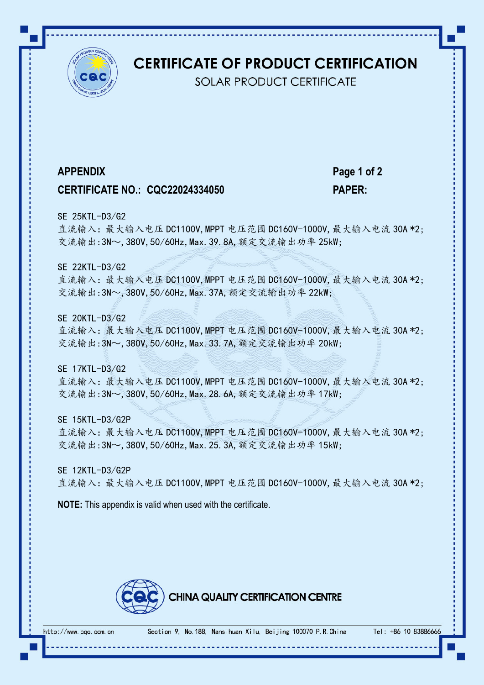

## **CERTIFICATE OF PRODUCT CERTIFICATION**

**SOLAR PRODUCT CERTIFICATE** 

**APPENDIX Page 1 of 2**

## **CERTIFICATE NO.: CQC22024334050 PAPER:**

### SE 25KTL-D3/G2

直流输入:最大输入电压 DC1100V, MPPT 电压范围 DC160V-1000V, 最大输入电流 30A \*2; 交流输出: 3N~, 380V, 50/60Hz, Max. 39, 8A, 额定交流输出功率 25kW;

## SE 22KTL-D3/G2

直流输入:最大输入电压 DC1100V, MPPT 电压范围 DC160V-1000V, 最大输入电流 30A \*2; 交流输出: 3N~, 380V, 50/60Hz, Max. 37A, 额定交流输出功率 22kW;

## SE 20KTL-D3/G2

直流输入:最大输入电压 DC1100V, MPPT 电压范围 DC160V-1000V, 最大输入电流 30A \*2; 交流输出: 3N~, 380V, 50/60Hz, Max. 33. 7A, 额定交流输出功率 20kW;

### SE 17KTL-D3/G2

直流输入:最大输入电压 DC1100V, MPPT 电压范围 DC160V-1000V, 最大输入电流 30A \*2; 交流输出: 3N~, 380V, 50/60Hz, Max. 28. 6A, 额定交流输出功率 17kW;

SE 15KTL-D3/G2P 直流输入:最大输入电压 DC1100V,MPPT 电压范围 DC160V-1000V,最大输入电流 30A \*2;

交流输出: 3N~, 380V, 50/60Hz, Max. 25. 3A, 额定交流输出功率 15kW;

SE 12KTL-D3/G2P 直流输入:最大输入电压 DC1100V, MPPT 电压范围 DC160V-1000V, 最大输入电流 30A \*2;

**NOTE:** This appendix is valid when used with the certificate.



Tel: +86 10 8388666